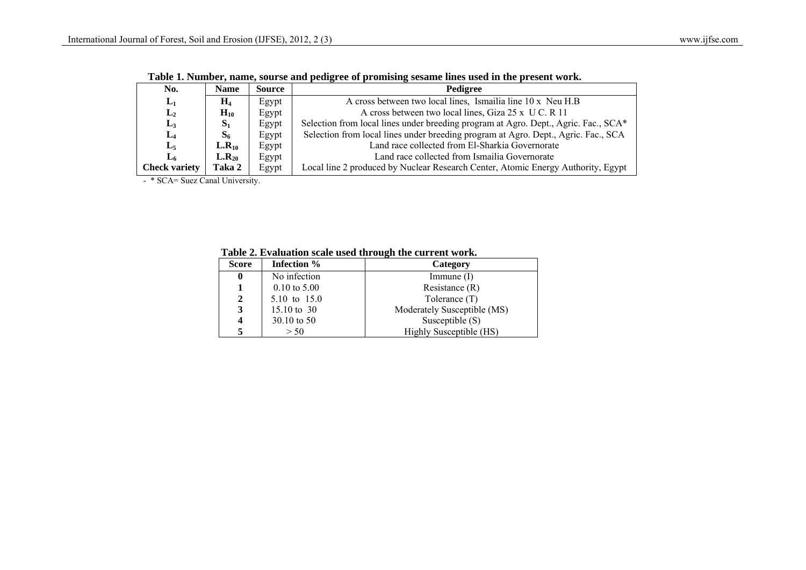| No.                  | <b>Name</b>    | <b>Source</b> | Pedigree                                                                            |
|----------------------|----------------|---------------|-------------------------------------------------------------------------------------|
| $L_1$                | $H_4$          | Egypt         | A cross between two local lines, Ismailia line 10 x Neu H.B                         |
| $L_2$                | $H_{10}$       | Egypt         | A cross between two local lines, Giza 25 x U C. R 11                                |
| $L_3$                | $S_1$          | Egypt         | Selection from local lines under breeding program at Agro. Dept., Agric. Fac., SCA* |
| $L_4$                | S <sub>6</sub> | Egypt         | Selection from local lines under breeding program at Agro. Dept., Agric. Fac., SCA  |
| $L_5$                | $L.R_{10}$     | Egypt         | Land race collected from El-Sharkia Governorate                                     |
| L <sub>6</sub>       | $L.R_{20}$     | Egypt         | Land race collected from Ismailia Governorate                                       |
| <b>Check variety</b> | Taka 2         | Egypt         | Local line 2 produced by Nuclear Research Center, Atomic Energy Authority, Egypt    |

 **Table 1. Number, name, sourse and pedigree of promising sesame lines used in the present work.**

- \* SCA= Suez Canal University.

| <b>Score</b>     | Infection %             | Category                    |
|------------------|-------------------------|-----------------------------|
| $\boldsymbol{0}$ | No infection            | Immune $(I)$                |
| 1                | $0.10 \text{ to } 5.00$ | Resistance $(R)$            |
| $\mathbf{2}$     | 5.10 to 15.0            | Tolerance (T)               |
| 3                | 15.10 to 30             | Moderately Susceptible (MS) |
| 4                | $30.10 \text{ to } 50$  | Susceptible $(S)$           |
| 5                | > 50                    | Highly Susceptible (HS)     |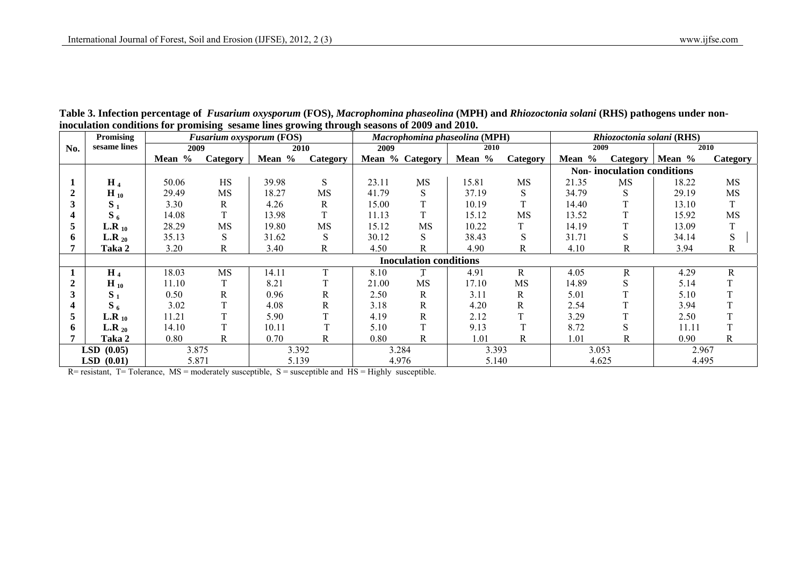|     | Promising            |        | 0         | 0<br><b>Fusarium oxysporum (FOS)</b> | -<br>$\sim$  |       |                               | Macrophomina phaseolina (MPH) |           | Rhiozoctonia solani (RHS)         |                   |       |           |  |  |  |
|-----|----------------------|--------|-----------|--------------------------------------|--------------|-------|-------------------------------|-------------------------------|-----------|-----------------------------------|-------------------|-------|-----------|--|--|--|
| No. | sesame lines         | 2009   |           | 2010                                 |              | 2009  |                               | 2010                          |           | 2009                              |                   |       | 2010      |  |  |  |
|     |                      | Mean % | Category  | Mean %                               | Category     |       | Mean % Category               | Mean %                        | Category  | Mean %                            | Category   Mean % |       | Category  |  |  |  |
|     |                      |        |           |                                      |              |       |                               |                               |           | <b>Non-inoculation conditions</b> |                   |       |           |  |  |  |
|     | $H_4$                | 50.06  | HS        | 39.98                                | S            | 23.11 | MS                            | 15.81                         | <b>MS</b> | 21.35                             | MS                | 18.22 | MS        |  |  |  |
|     | $H_{10}$             | 29.49  | MS        | 18.27                                | MS           | 41.79 | S                             | 37.19                         | S         | 34.79                             | S                 | 29.19 | MS        |  |  |  |
|     | $S_1$                | 3.30   | R         | 4.26                                 | R            | 15.00 |                               | 10.19                         | T         | 14.40                             |                   | 13.10 | T         |  |  |  |
|     | $S_6$                | 14.08  | T         | 13.98                                | T            | 11.13 | T.                            | 15.12                         | <b>MS</b> | 13.52                             |                   | 15.92 | MS        |  |  |  |
|     | L.R $_{10}$          | 28.29  | <b>MS</b> | 19.80                                | <b>MS</b>    | 15.12 | <b>MS</b>                     | 10.22                         |           | 14.19                             |                   | 13.09 |           |  |  |  |
| 6   | L.R $_{20}$          | 35.13  | S         | 31.62                                | S            | 30.12 | S                             | 38.43                         | S         | 31.71                             | S                 | 34.14 | ${\bf S}$ |  |  |  |
|     | Taka 2               | 3.20   | R         | 3.40                                 | R            | 4.50  | R                             | 4.90                          | R         | 4.10                              | R                 | 3.94  | R         |  |  |  |
|     |                      |        |           |                                      |              |       | <b>Inoculation conditions</b> |                               |           |                                   |                   |       |           |  |  |  |
|     | $H_4$                | 18.03  | MS        | 14.11                                | $\mathbf{T}$ | 8.10  |                               | R<br>4.91                     |           | 4.05                              | R                 | 4.29  | R         |  |  |  |
|     | $H_{10}$             | 11.10  |           | 8.21                                 |              | 21.00 | <b>MS</b>                     | 17.10                         | <b>MS</b> | 14.89                             | S                 | 5.14  |           |  |  |  |
|     | $S_1$                | 0.50   | R         | 0.96                                 | R            | 2.50  | R                             | 3.11                          | R         | 5.01                              |                   | 5.10  |           |  |  |  |
|     | $S_6$                | 3.02   |           | 4.08                                 | R            | 3.18  | R                             | 4.20                          | R         | 2.54                              |                   | 3.94  |           |  |  |  |
|     | L.R $_{10}$          | 11.21  | m.        | 5.90                                 |              | 4.19  | R                             | 2.12                          | T         | 3.29                              |                   | 2.50  |           |  |  |  |
| 6   | L.R $_{20}$          | 14.10  | m.        | 10.11                                |              | 5.10  |                               | 9.13                          | T         | 8.72                              | S                 | 11.11 |           |  |  |  |
|     | Taka 2               | 0.80   | R         | 0.70                                 | R            | 0.80  | R                             | 1.01                          | R         | 1.01                              | R                 | 0.90  | R         |  |  |  |
|     | <b>LSD</b><br>(0.05) | 3.875  |           | 3.392                                |              | 3.284 |                               | 3.393                         |           | 3.053                             |                   | 2.967 |           |  |  |  |
|     | $LSD$ $(0.01)$       | 5.871  |           | 5.139                                |              | 4.976 |                               | 5.140                         |           | 4.625                             |                   | 4.495 |           |  |  |  |

**Table 3. Infection percentage of** *Fusarium oxysporum* **(FOS),** *Macrophomina phaseolina* **(MPH) and** *Rhiozoctonia solani* **(RHS) pathogens under noninoculation conditions for promising sesame lines growing through seasons of 2009 and 2010.** 

 $R =$  resistant, T = Tolerance, MS = moderately susceptible, S = susceptible and HS = Highly susceptible.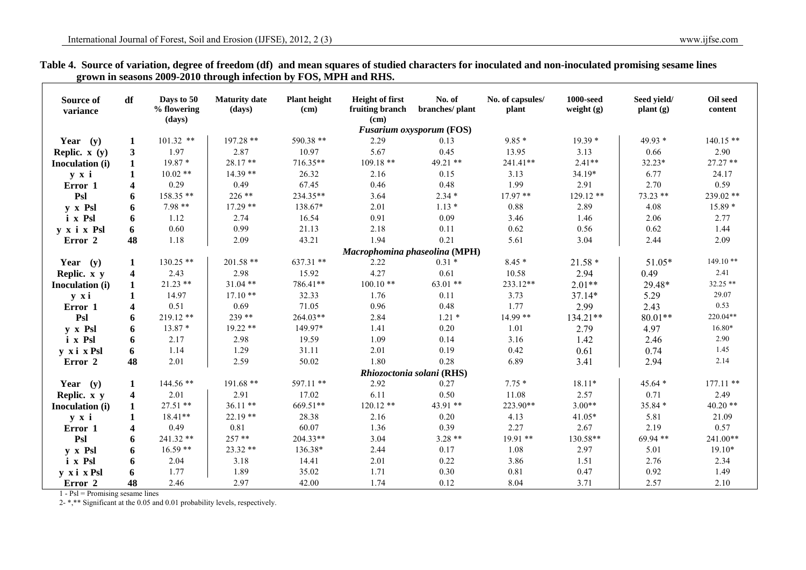| Source of<br>variance | df                      | Days to 50<br>% flowering<br>(days) | <b>Maturity date</b><br>(days) | <b>Plant height</b><br>(cm) | <b>Height of first</b><br>fruiting branch<br>(cm) | No. of<br>branches/plant        | No. of capsules/<br>plant | <b>1000-seed</b><br>weight $(g)$ | Seed yield/<br>plant(g) | Oil seed<br>content |
|-----------------------|-------------------------|-------------------------------------|--------------------------------|-----------------------------|---------------------------------------------------|---------------------------------|---------------------------|----------------------------------|-------------------------|---------------------|
|                       |                         |                                     |                                |                             |                                                   | <b>Fusarium oxysporum (FOS)</b> |                           |                                  |                         |                     |
| Year $(y)$            | 1                       | $101.32$ **                         | $197.28$ **                    | 590.38 **                   | 2.29                                              | 0.13                            | $9.85*$                   | $19.39*$                         | 49.93 *                 | $140.15**$          |
| Replic. $x(y)$        | 3                       | 1.97                                | 2.87                           | 10.97                       | 5.67                                              | 0.45                            | 13.95                     | 3.13                             | 0.66                    | 2.90                |
| Inoculation (i)       | $\mathbf{1}$            | $19.87*$                            | 28.17**                        | 716.35**                    | 109.18 **                                         | 49.21 **                        | $241.41**$                | $2.41**$                         | $32.23*$                | $27.27**$           |
| $y \times i$          |                         | $10.02**$                           | $14.39**$                      | 26.32                       | 2.16                                              | 0.15                            | 3.13                      | 34.19*                           | 6.77                    | 24.17               |
| Error 1               | 4                       | 0.29                                | 0.49                           | 67.45                       | 0.46                                              | 0.48                            | 1.99                      | 2.91                             | 2.70                    | 0.59                |
| Psl                   | 6                       | 158.35 **                           | 226 **                         | 234.35**                    | 3.64                                              | $2.34*$                         | $17.97**$                 | $129.12**$                       | 73.23 **                | 239.02 **           |
| y x Psl               | 6                       | $7.98**$                            | $17.29**$                      | 138.67*                     | 2.01                                              | $1.13*$                         | 0.88                      | 2.89                             | 4.08                    | $15.89*$            |
| i x Psl               | 6                       | 1.12                                | 2.74                           | 16.54                       | 0.91                                              | 0.09                            | 3.46                      | 1.46                             | 2.06                    | 2.77                |
| y x i x Psl           | 6                       | 0.60                                | 0.99                           | 21.13                       | 2.18                                              | 0.11                            | 0.62                      | 0.56                             | 0.62                    | 1.44                |
| Error 2               | 48                      | 1.18                                | 2.09                           | 43.21                       | 1.94                                              | 0.21                            | 5.61                      | 3.04                             | 2.44                    | 2.09                |
|                       |                         |                                     |                                |                             | Macrophomina phaseolina (MPH)                     |                                 |                           |                                  |                         |                     |
| Year $(y)$            | 1                       | $130.25$ **                         | 201.58 **                      | $637.31$ **                 | 2.22                                              | $0.31*$                         | $8.45*$                   | $21.58*$                         | $51.05*$                | $149.10**$          |
| Replic. x y           | $\overline{\mathbf{4}}$ | 2.43                                | 2.98                           | 15.92                       | 4.27                                              | 0.61                            | 10.58                     | 2.94                             | 0.49                    | 2.41                |
| Inoculation (i)       | 1                       | $21.23$ **                          | $31.04$ **                     | 786.41**                    | $100.10**$                                        | $63.01**$                       | 233.12**                  | $2.01**$                         | 29.48*                  | 32.25 **            |
| y xi                  |                         | 14.97                               | $17.10**$                      | 32.33                       | 1.76                                              | 0.11                            | 3.73                      | 37.14*                           | 5.29                    | 29.07               |
| Error 1               | $\overline{\mathbf{4}}$ | 0.51                                | 0.69                           | 71.05                       | 0.96                                              | 0.48                            | 1.77                      | 2.99                             | 2.43                    | 0.53                |
| Psl                   | 6                       | $219.12**$                          | $239**$                        | 264.03**                    | 2.84                                              | $1.21 *$                        | 14.99 **                  | 134.21**                         | $80.01**$               | 220.04**            |
| y x Psl               | 6                       | $13.87*$                            | $19.22**$                      | 149.97*                     | 1.41                                              | 0.20                            | 1.01                      | 2.79                             | 4.97                    | 16.80*              |
| i x Psl               | 6                       | 2.17                                | 2.98                           | 19.59                       | 1.09                                              | 0.14                            | 3.16                      | 1.42                             | 2.46                    | 2.90                |
| y xi x Psl            | 6                       | 1.14                                | 1.29                           | 31.11                       | 2.01                                              | 0.19                            | 0.42                      | 0.61                             | 0.74                    | 1.45                |
| Error <sub>2</sub>    | 48                      | 2.01                                | 2.59                           | 50.02                       | 1.80                                              | 0.28                            | 6.89                      | 3.41                             | 2.94                    | 2.14                |
|                       |                         |                                     |                                |                             |                                                   | Rhiozoctonia solani (RHS)       |                           |                                  |                         |                     |
| Year $(y)$            | 1                       | 144.56 **                           | 191.68 **                      | 597.11 **                   | 2.92                                              | 0.27                            | $7.75*$                   | 18.11*                           | 45.64 *                 | $177.11$ **         |
| Replic. x y           | 4                       | 2.01                                | 2.91                           | 17.02                       | 6.11                                              | 0.50                            | 11.08                     | 2.57                             | 0.71                    | 2.49                |
| Inoculation (i)       | 1                       | $27.51$ **                          | $36.11**$                      | 669.51**                    | $120.12**$                                        | 43.91 **                        | 223.90**                  | $3.00**$                         | 35.84 *                 | $40.20**$           |
| y x i                 | 1                       | 18.41**                             | $22.19**$                      | 28.38                       | 2.16                                              | 0.20                            | 4.13                      | 41.05*                           | 5.81                    | 21.09               |
| Error 1               | $\boldsymbol{4}$        | 0.49                                | 0.81                           | 60.07                       | 1.36                                              | 0.39                            | 2.27                      | 2.67                             | 2.19                    | 0.57                |
| Psl                   | 6                       | $241.32**$                          | $257**$                        | 204.33**                    | 3.04                                              | $3.28**$                        | $19.91**$                 | 130.58**                         | 69.94 **                | 241.00**            |
| y x Psl               | 6                       | $16.59**$                           | $23.32**$                      | 136.38*                     | 2.44                                              | 0.17                            | 1.08                      | 2.97                             | 5.01                    | $19.10*$            |
| i x Psl               | 6                       | 2.04                                | 3.18                           | 14.41                       | 2.01                                              | 0.22                            | 3.86                      | 1.51                             | 2.76                    | 2.34                |
| y xi x Psl            | 6                       | 1.77                                | 1.89                           | 35.02                       | 1.71                                              | 0.30                            | 0.81                      | 0.47                             | 0.92                    | 1.49                |
| Error 2               | 48                      | 2.46                                | 2.97                           | 42.00                       | 1.74                                              | 0.12                            | 8.04                      | 3.71                             | 2.57                    | 2.10                |

## **Table 4. Source of variation, degree of freedom (df) and mean squares of studied characters for inoculated and non-inoculated promising sesame lines grown in seasons 2009-2010 through infection by FOS, MPH and RHS.**

1 - Psl = Promising sesame lines

2- \*,\*\* Significant at the 0.05 and 0.01 probability levels, respectively.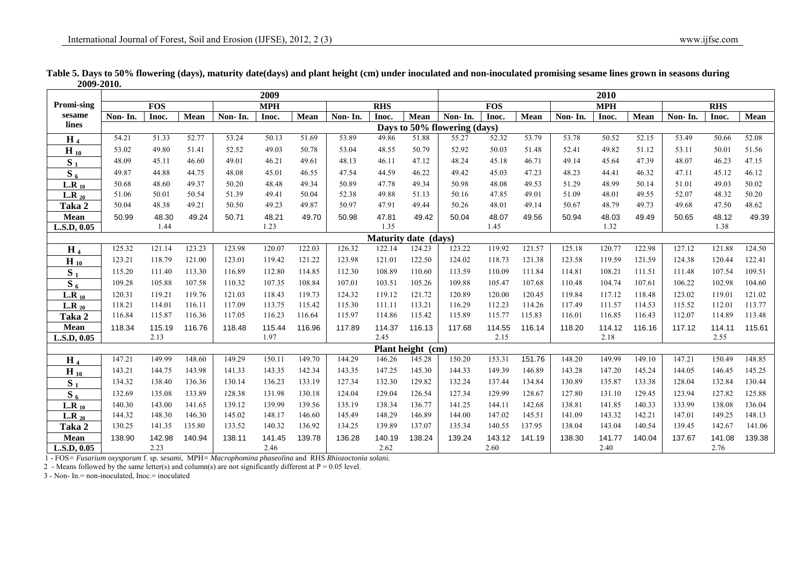|                   |         |            |        |         | 2009       |        |         |            |                             |                              |            | 2010   |         |            |        |         |            |        |
|-------------------|---------|------------|--------|---------|------------|--------|---------|------------|-----------------------------|------------------------------|------------|--------|---------|------------|--------|---------|------------|--------|
| <b>Promi-sing</b> |         | <b>FOS</b> |        |         | <b>MPH</b> |        |         | <b>RHS</b> |                             |                              | <b>FOS</b> |        |         | <b>MPH</b> |        |         | <b>RHS</b> |        |
| sesame            | Non-In. | Inoc.      | Mean   | Non-In. | Inoc.      | Mean   | Non-In. | Inoc.      | Mean                        | Non-In.                      | Inoc.      | Mean   | Non-In. | Inoc.      | Mean   | Non-In. | Inoc.      | Mean   |
| lines             |         |            |        |         |            |        |         |            |                             | Days to 50% flowering (days) |            |        |         |            |        |         |            |        |
| H <sub>4</sub>    | 54.21   | 51.33      | 52.77  | 53.24   | 50.13      | 51.69  | 53.89   | 49.86      | 51.88                       | 55.27                        | 52.32      | 53.79  | 53.78   | 50.52      | 52.15  | 53.49   | 50.66      | 52.08  |
| $H_{10}$          | 53.02   | 49.80      | 51.41  | 52.52   | 49.03      | 50.78  | 53.04   | 48.55      | 50.79                       | 52.92                        | 50.03      | 51.48  | 52.41   | 49.82      | 51.12  | 53.11   | 50.01      | 51.56  |
| $S_1$             | 48.09   | 45.11      | 46.60  | 49.01   | 46.21      | 49.61  | 48.13   | 46.11      | 47.12                       | 48.24                        | 45.18      | 46.71  | 49.14   | 45.64      | 47.39  | 48.07   | 46.23      | 47.15  |
| $S_6$             | 49.87   | 44.88      | 44.75  | 48.08   | 45.01      | 46.55  | 47.54   | 44.59      | 46.22                       | 49.42                        | 45.03      | 47.23  | 48.23   | 44.41      | 46.32  | 47.11   | 45.12      | 46.12  |
| $L.R_{10}$        | 50.68   | 48.60      | 49.37  | 50.20   | 48.48      | 49.34  | 50.89   | 47.78      | 49.34                       | 50.98                        | 48.08      | 49.53  | 51.29   | 48.99      | 50.14  | 51.01   | 49.03      | 50.02  |
| L.R $_{20}$       | 51.06   | 50.01      | 50.54  | 51.39   | 49.41      | 50.04  | 52.38   | 49.88      | 51.13                       | 50.16                        | 47.85      | 49.01  | 51.09   | 48.01      | 49.55  | 52.07   | 48.32      | 50.20  |
| Taka 2            | 50.04   | 48.38      | 49.21  | 50.50   | 49.23      | 49.87  | 50.97   | 47.91      | 49.44                       | 50.26                        | 48.01      | 49.14  | 50.67   | 48.79      | 49.73  | 49.68   | 47.50      | 48.62  |
| Mean              | 50.99   | 48.30      | 49.24  | 50.71   | 48.21      | 49.70  | 50.98   | 47.81      | 49.42                       | 50.04                        | 48.07      | 49.56  | 50.94   | 48.03      | 49.49  | 50.65   | 48.12      | 49.39  |
| L.S.D, 0.05       |         | 1.44       |        |         | 1.23       |        |         | 1.35       |                             |                              | 1.45       |        |         | 1.32       |        |         | 1.38       |        |
|                   |         |            |        |         |            |        |         |            | <b>Maturity date (days)</b> |                              |            |        |         |            |        |         |            |        |
| H <sub>4</sub>    | 125.32  | 121.14     | 123.23 | 123.98  | 120.07     | 122.03 | 126.32  | 122.14     | 124.23                      | 123.22                       | 119.92     | 121.57 | 125.18  | 120.77     | 122.98 | 127.12  | 121.88     | 124.50 |
| $H_{10}$          | 123.21  | 118.79     | 121.00 | 123.01  | 119.42     | 121.22 | 123.98  | 121.01     | 122.50                      | 124.02                       | 118.73     | 121.38 | 123.58  | 119.59     | 121.59 | 124.38  | 120.44     | 122.41 |
| $S_1$             | 115.20  | 111.40     | 113.30 | 116.89  | 112.80     | 114.85 | 112.30  | 108.89     | 110.60                      | 113.59                       | 110.09     | 111.84 | 114.81  | 108.21     | 111.51 | 111.48  | 107.54     | 109.51 |
| $S_6$             | 109.28  | 105.88     | 107.58 | 110.32  | 107.35     | 108.84 | 107.01  | 103.51     | 105.26                      | 109.88                       | 105.47     | 107.68 | 110.48  | 104.74     | 107.61 | 106.22  | 102.98     | 104.60 |
| L.R $_{10}$       | 120.31  | 119.21     | 119.76 | 121.03  | 118.43     | 119.73 | 124.32  | 119.12     | 121.72                      | 120.89                       | 120.00     | 120.45 | 119.84  | 117.12     | 118.48 | 123.02  | 119.01     | 121.02 |
| L.R $_{20}$       | 118.21  | 114.01     | 116.11 | 117.09  | 113.75     | 115.42 | 115.30  | 111.11     | 113.21                      | 116.29                       | 112.23     | 114.26 | 117.49  | 111.57     | 114.53 | 115.52  | 112.01     | 113.77 |
| Taka 2            | 116.84  | 115.87     | 116.36 | 117.05  | 116.23     | 116.64 | 115.97  | 114.86     | 115.42                      | 115.89                       | 115.77     | 115.83 | 116.01  | 116.85     | 116.43 | 112.07  | 114.89     | 113.48 |
| Mean              | 118.34  | 115.19     | 116.76 | 118.48  | 115.44     | 116.96 | 117.89  | 114.37     | 116.13                      | 117.68                       | 114.55     | 116.14 | 118.20  | 114.12     | 116.16 | 117.12  | 114.11     | 115.61 |
| L.S.D, 0.05       |         | 2.13       |        |         | 1.97       |        |         | 2.45       |                             |                              | 2.15       |        |         | 2.18       |        |         | 2.55       |        |
|                   |         |            |        |         |            |        |         |            | Plant height (cm)           |                              |            |        |         |            |        |         |            |        |
| H $_4$            | 147.21  | 149.99     | 148.60 | 149.29  | 150.11     | 149.70 | 144.29  | 146.26     | 145.28                      | 150.20                       | 153.31     | 151.76 | 148.20  | 149.99     | 149.10 | 147.21  | 150.49     | 148.85 |
| $H_{10}$          | 143.21  | 144.75     | 143.98 | 141.33  | 143.35     | 142.34 | 143.35  | 147.25     | 145.30                      | 144.33                       | 149.39     | 146.89 | 143.28  | 147.20     | 145.24 | 144.05  | 146.45     | 145.25 |
| S <sub>1</sub>    | 134.32  | 138.40     | 136.36 | 130.14  | 136.23     | 133.19 | 127.34  | 132.30     | 129.82                      | 132.24                       | 137.44     | 134.84 | 130.89  | 135.87     | 133.38 | 128.04  | 132.84     | 130.44 |
| $\overline{S_6}$  | 132.69  | 135.08     | 133.89 | 128.38  | 131.98     | 130.18 | 124.04  | 129.04     | 126.54                      | 127.34                       | 129.99     | 128.67 | 127.80  | 131.10     | 129.45 | 123.94  | 127.82     | 125.88 |
| L.R $_{10}$       | 140.30  | 143.00     | 141.65 | 139.12  | 139.99     | 139.56 | 135.19  | 138.34     | 136.77                      | 141.25                       | 144.11     | 142.68 | 138.81  | 141.85     | 140.33 | 133.99  | 138.08     | 136.04 |
| L.R $_{20}$       | 144.32  | 148.30     | 146.30 | 145.02  | 148.17     | 146.60 | 145.49  | 148.29     | 146.89                      | 144.00                       | 147.02     | 145.51 | 141.09  | 143.32     | 142.21 | 147.01  | 149.25     | 148.13 |
| Taka 2            | 130.25  | 141.35     | 135.80 | 133.52  | 140.32     | 136.92 | 134.25  | 139.89     | 137.07                      | 135.34                       | 140.55     | 137.95 | 138.04  | 143.04     | 140.54 | 139.45  | 142.67     | 141.06 |
| Mean              | 138.90  | 142.98     | 140.94 | 138.11  | 141.45     | 139.78 | 136.28  | 140.19     | 138.24                      | 139.24                       | 143.12     | 141.19 | 138.30  | 141.77     | 140.04 | 137.67  | 141.08     | 139.38 |
| L.S.D, 0.05       |         | 2.23       |        |         | 2.46       |        |         | 2.62       |                             |                              | 2.60       |        |         | 2.40       |        |         | 2.76       |        |

| Table 5. Days to 50% flowering (days), maturity date(days) and plant height (cm) under inoculated and non-inoculated promising sesame lines grown in seasons during |
|---------------------------------------------------------------------------------------------------------------------------------------------------------------------|
| 2009-2010.                                                                                                                                                          |

1 *-* FOS*= Fusarium oxysporum* f. sp. *sesami*, MPH*= Macrophomina phaseolina* and RHS *Rhiozoctonia solani.*

2 - Means followed by the same letter(s) and column(s) are not significantly different at  $P = 0.05$  level.

3 - Non- In.= non-inoculated, Inoc.= inoculated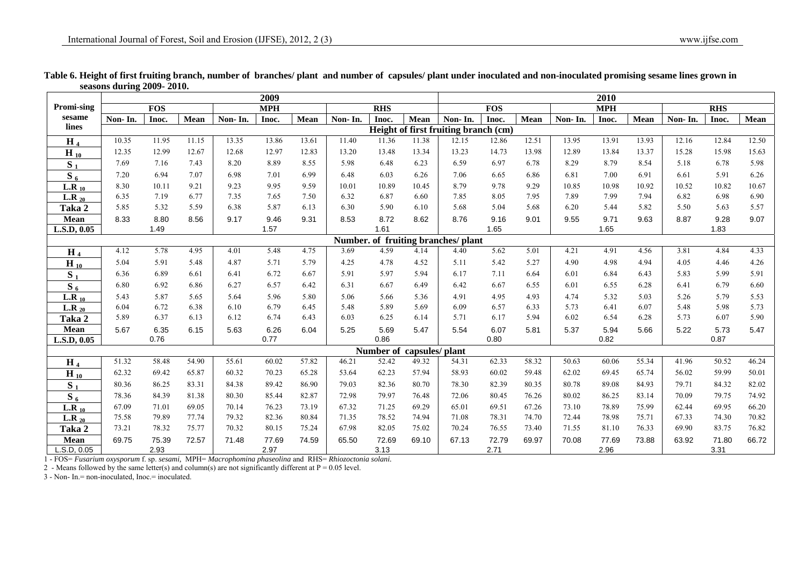|                                     |         |            |       |         | 2009       |       |         |            | 2010           |                                      |            |       |         |            |       |         |            |       |
|-------------------------------------|---------|------------|-------|---------|------------|-------|---------|------------|----------------|--------------------------------------|------------|-------|---------|------------|-------|---------|------------|-------|
| Promi-sing                          |         | <b>FOS</b> |       |         | <b>MPH</b> |       |         | <b>RHS</b> |                |                                      | <b>FOS</b> |       |         | <b>MPH</b> |       |         | <b>RHS</b> |       |
| sesame                              | Non-In. | Inoc.      | Mean  | Non-In. | Inoc.      | Mean  | Non-In. | Inoc.      | Mean           | Non-In.                              | Inoc.      | Mean  | Non-In. | Inoc.      | Mean  | Non-In. | Inoc.      | Mean  |
| lines                               |         |            |       |         |            |       |         |            |                | Height of first fruiting branch (cm) |            |       |         |            |       |         |            |       |
| H <sub>4</sub>                      | 10.35   | 11.95      | 11.15 | 13.35   | 13.86      | 13.61 | 11.40   | 11.36      | 11.38          | 12.15                                | 12.86      | 12.51 | 13.95   | 13.91      | 13.93 | 12.16   | 12.84      | 12.50 |
| $H_{10}$                            | 12.35   | 12.99      | 12.67 | 12.68   | 12.97      | 12.83 | 13.20   | 13.48      | 13.34          | 13.23                                | 14.73      | 13.98 | 12.89   | 13.84      | 13.37 | 15.28   | 15.98      | 15.63 |
| $S_1$                               | 7.69    | 7.16       | 7.43  | 8.20    | 8.89       | 8.55  | 5.98    | 6.48       | 6.23           | 6.59                                 | 6.97       | 6.78  | 8.29    | 8.79       | 8.54  | 5.18    | 6.78       | 5.98  |
| $\overline{S_6}$                    | 7.20    | 6.94       | 7.07  | 6.98    | 7.01       | 6.99  | 6.48    | 6.03       | 6.26           | 7.06                                 | 6.65       | 6.86  | 6.81    | 7.00       | 6.91  | 6.61    | 5.91       | 6.26  |
| $L.R_{10}$                          | 8.30    | 10.11      | 9.21  | 9.23    | 9.95       | 9.59  | 10.01   | 10.89      | 10.45          | 8.79                                 | 9.78       | 9.29  | 10.85   | 10.98      | 10.92 | 10.52   | 10.82      | 10.67 |
| L.R $_{20}$                         | 6.35    | 7.19       | 6.77  | 7.35    | 7.65       | 7.50  | 6.32    | 6.87       | 6.60           | 7.85                                 | 8.05       | 7.95  | 7.89    | 7.99       | 7.94  | 6.82    | 6.98       | 6.90  |
| Taka 2                              | 5.85    | 5.32       | 5.59  | 6.38    | 5.87       | 6.13  | 6.30    | 5.90       | 6.10           | 5.68                                 | 5.04       | 5.68  | 6.20    | 5.44       | 5.82  | 5.50    | 5.63       | 5.57  |
| Mean                                | 8.33    | 8.80       | 8.56  | 9.17    | 9.46       | 9.31  | 8.53    | 8.72       | 8.62           | 8.76                                 | 9.16       | 9.01  | 9.55    | 9.71       | 9.63  | 8.87    | 9.28       | 9.07  |
| L.S.D. 0.05                         |         | 1.49       |       |         | 1.57       |       |         | 1.61       |                |                                      | 1.65       |       |         | 1.65       |       |         | 1.83       |       |
| Number. of fruiting branches/ plant |         |            |       |         |            |       |         |            |                |                                      |            |       |         |            |       |         |            |       |
| H $_4$                              | 4.12    | 5.78       | 4.95  | 4.01    | 5.48       | 4.75  | 3.69    | 4.59       | 4.14           | 4.40                                 | 5.62       | 5.01  | 4.21    | 4.91       | 4.56  | 3.81    | 4.84       | 4.33  |
| $H_{10}$                            | 5.04    | 5.91       | 5.48  | 4.87    | 5.71       | 5.79  | 4.25    | 4.78       | 4.52           | 5.11                                 | 5.42       | 5.27  | 4.90    | 4.98       | 4.94  | 4.05    | 4.46       | 4.26  |
| S <sub>1</sub>                      | 6.36    | 6.89       | 6.61  | 6.41    | 6.72       | 6.67  | 5.91    | 5.97       | 5.94           | 6.17                                 | 7.11       | 6.64  | 6.01    | 6.84       | 6.43  | 5.83    | 5.99       | 5.91  |
| $\overline{S_6}$                    | 6.80    | 6.92       | 6.86  | 6.27    | 6.57       | 6.42  | 6.31    | 6.67       | 6.49           | 6.42                                 | 6.67       | 6.55  | 6.01    | 6.55       | 6.28  | 6.41    | 6.79       | 6.60  |
| $L.R_{10}$                          | 5.43    | 5.87       | 5.65  | 5.64    | 5.96       | 5.80  | 5.06    | 5.66       | 5.36           | 4.91                                 | 4.95       | 4.93  | 4.74    | 5.32       | 5.03  | 5.26    | 5.79       | 5.53  |
| L.R $_{20}$                         | 6.04    | 6.72       | 6.38  | 6.10    | 6.79       | 6.45  | 5.48    | 5.89       | 5.69           | 6.09                                 | 6.57       | 6.33  | 5.73    | 6.41       | 6.07  | 5.48    | 5.98       | 5.73  |
| Taka 2                              | 5.89    | 6.37       | 6.13  | 6.12    | 6.74       | 6.43  | 6.03    | 6.25       | 6.14           | 5.71                                 | 6.17       | 5.94  | 6.02    | 6.54       | 6.28  | 5.73    | 6.07       | 5.90  |
| Mean                                | 5.67    | 6.35       | 6.15  | 5.63    | 6.26       | 6.04  | 5.25    | 5.69       | 5.47           | 5.54                                 | 6.07       | 5.81  | 5.37    | 5.94       | 5.66  | 5.22    | 5.73       | 5.47  |
| L.S.D. 0.05                         |         | 0.76       |       |         | 0.77       |       |         | 0.86       |                |                                      | 0.80       |       |         | 0.82       |       |         | 0.87       |       |
|                                     |         |            |       |         |            |       |         | Number of  | capsules/plant |                                      |            |       |         |            |       |         |            |       |
| $H_4$                               | 51.32   | 58.48      | 54.90 | 55.61   | 60.02      | 57.82 | 46.21   | 52.42      | 49.32          | 54.31                                | 62.33      | 58.32 | 50.63   | 60.06      | 55.34 | 41.96   | 50.52      | 46.24 |
| $H_{10}$                            | 62.32   | 69.42      | 65.87 | 60.32   | 70.23      | 65.28 | 53.64   | 62.23      | 57.94          | 58.93                                | 60.02      | 59.48 | 62.02   | 69.45      | 65.74 | 56.02   | 59.99      | 50.01 |
| S <sub>1</sub>                      | 80.36   | 86.25      | 83.31 | 84.38   | 89.42      | 86.90 | 79.03   | 82.36      | 80.70          | 78.30                                | 82.39      | 80.35 | 80.78   | 89.08      | 84.93 | 79.71   | 84.32      | 82.02 |
| $S_6$                               | 78.36   | 84.39      | 81.38 | 80.30   | 85.44      | 82.87 | 72.98   | 79.97      | 76.48          | 72.06                                | 80.45      | 76.26 | 80.02   | 86.25      | 83.14 | 70.09   | 79.75      | 74.92 |
| $L.R_{10}$                          | 67.09   | 71.01      | 69.05 | 70.14   | 76.23      | 73.19 | 67.32   | 71.25      | 69.29          | 65.01                                | 69.51      | 67.26 | 73.10   | 78.89      | 75.99 | 62.44   | 69.95      | 66.20 |
| L.R $_{20}$                         | 75.58   | 79.89      | 77.74 | 79.32   | 82.36      | 80.84 | 71.35   | 78.52      | 74.94          | 71.08                                | 78.31      | 74.70 | 72.44   | 78.98      | 75.71 | 67.33   | 74.30      | 70.82 |
| Taka 2                              | 73.21   | 78.32      | 75.77 | 70.32   | 80.15      | 75.24 | 67.98   | 82.05      | 75.02          | 70.24                                | 76.55      | 73.40 | 71.55   | 81.10      | 76.33 | 69.90   | 83.75      | 76.82 |
| Mean                                | 69.75   | 75.39      | 72.57 | 71.48   | 77.69      | 74.59 | 65.50   | 72.69      | 69.10          | 67.13                                | 72.79      | 69.97 | 70.08   | 77.69      | 73.88 | 63.92   | 71.80      | 66.72 |
| L.S.D, 0.05                         |         | 2.93       |       |         | 2.97       |       |         | 3.13       |                |                                      | 2.71       |       |         | 2.96       |       |         | 3.31       |       |

## **Table 6. Height of first fruiting branch, number of branches/ plant and number of capsules/ plant under inoculated and non-inoculated promising sesame lines grown in seasons during 2009- 2010.**

1 - FOS= *Fusarium oxysporum* f. sp. *sesami,* MPH= *Macrophomina phaseolina* and RHS= *Rhiozoctonia solani.* 

2 - Means followed by the same letter(s) and column(s) are not significantly different at  $P = 0.05$  level.

3 - Non- In.= non-inoculated, Inoc.= inoculated.